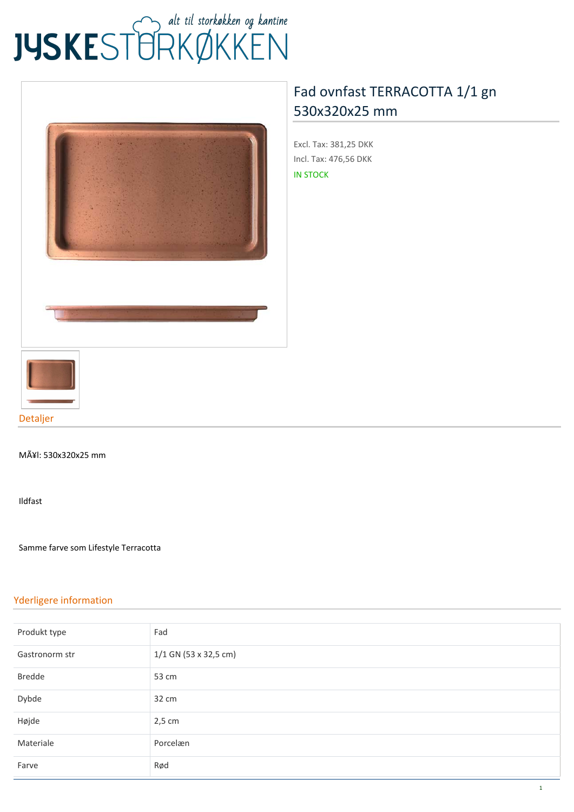# JUSKEST TRKØKKEN



## **[Fad ovnfast TERRACOTTA 1/1 gn](https://www.jyskestorkokken.dk/fad-ovnfast-terracotta-1-1-gn-530x320x25-mm-gb-gat9020.html) [530x320x25 mm](https://www.jyskestorkokken.dk/fad-ovnfast-terracotta-1-1-gn-530x320x25-mm-gb-gat9020.html)**

**Excl. Tax:** 381,25 DKK **Incl. Tax:** 476,56 DKK IN STOCK



#### MÃ¥l: 530x320x25 mm

Ildfast

Samme farve som Lifestyle Terracotta

#### **Yderligere information**

| Produkt type   | Fad                     |
|----------------|-------------------------|
| Gastronorm str | $1/1$ GN (53 x 32,5 cm) |
| <b>Bredde</b>  | 53 cm                   |
| Dybde          | 32 cm                   |
| Højde          | $2,5$ cm                |
| Materiale      | Porcelæn                |
| Farve          | Rød                     |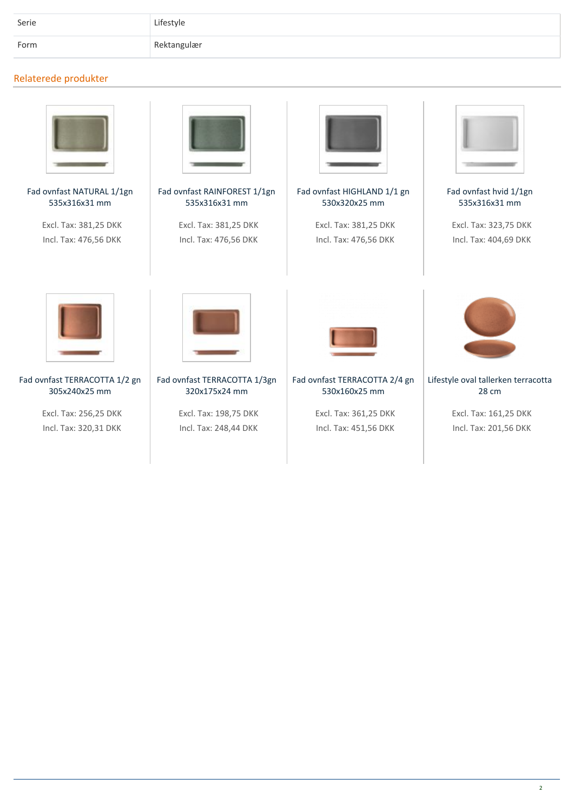| Serie | Lifestyle   |
|-------|-------------|
| Form  | Rektangulær |

### **Relaterede produkter**